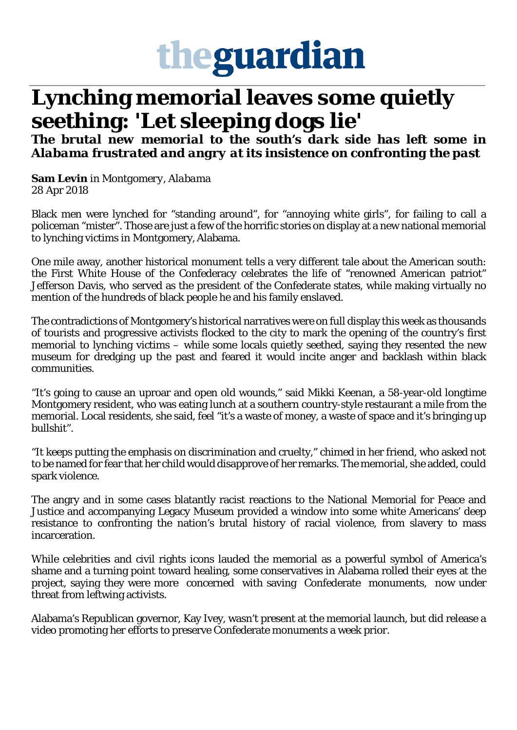## theguardian

## \_\_\_\_\_\_\_\_\_\_\_\_\_\_\_\_\_\_\_\_\_\_\_\_\_\_\_\_\_\_\_\_\_\_\_\_\_\_\_\_\_\_\_\_\_\_\_\_\_\_\_\_\_\_\_\_\_\_\_\_\_\_\_\_\_\_\_\_\_\_\_\_\_\_\_\_\_\_\_\_\_\_\_\_\_\_\_\_\_\_\_\_\_\_\_\_\_\_\_\_\_\_\_\_\_ **Lynching memorial leaves some quietly seething: 'Let sleeping dogs lie'**

*The brutal new memorial to the south's dark side has left some in Alabama frustrated and angry at its insistence on confronting the past*

**Sam Levin** *in Montgomery, Alabama* 28 Apr 2018

Black men were lynched for "standing around", for "annoying white girls", for failing to call a policeman "mister". Those are just a few of the horrific stories on display at a new national memorial to lynching victims in Montgomery, Alabama.

One mile away, another historical monument tells a very different tale about the American south: the First White House of the Confederacy celebrates the life of "renowned American patriot" Jefferson Davis, who served as the president of the Confederate states, while making virtually no mention of the hundreds of black people he and his family enslaved.

The contradictions of Montgomery's historical narratives were on full display this week as thousands of tourists and progressive activists flocked to the city to mark the opening of the country's first memorial to lynching victims – while some locals quietly seethed, saying they resented the new museum for dredging up the past and feared it would incite anger and backlash within black communities.

"It's going to cause an uproar and open old wounds," said Mikki Keenan, a 58-year-old longtime Montgomery resident, who was eating lunch at a southern country-style restaurant a mile from the memorial. Local residents, she said, feel "it's a waste of money, a waste of space and it's bringing up bullshit".

"It keeps putting the emphasis on discrimination and cruelty," chimed in her friend, who asked not to be named for fear that her child would disapprove of her remarks. The memorial, she added, could spark violence.

The angry and in some cases blatantly racist reactions to the National Memorial for Peace and Justice and accompanying Legacy Museum provided a window into some white Americans' deep resistance to confronting the nation's brutal history of racial violence, from slavery to mass incarceration.

While celebrities and civil rights icons lauded the memorial as a powerful symbol of America's shame and a turning point toward healing, some conservatives in Alabama rolled their eyes at the project, saying they were more concerned with saving Confederate monuments, now under threat from leftwing activists.

Alabama's Republican governor, Kay Ivey, wasn't present at the memorial launch, but did release a video promoting her efforts to preserve Confederate monuments a week prior.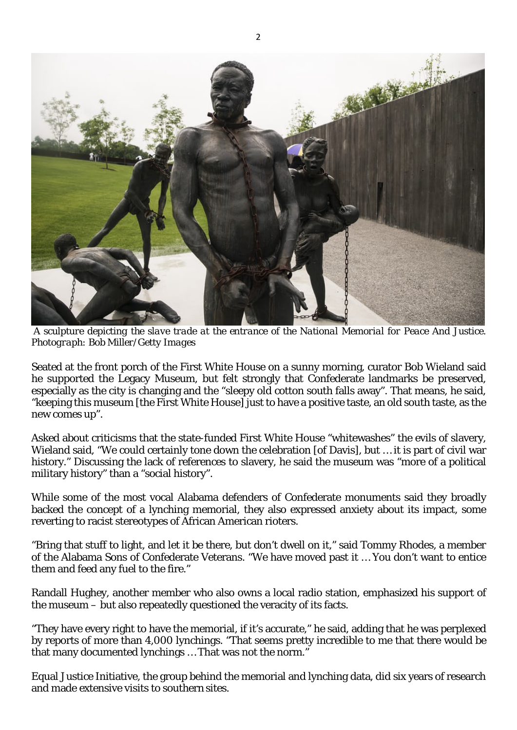

*A sculpture depicting the slave trade at the entrance of the National Memorial for Peace And Justice. Photograph: Bob Miller/Getty Images*

Seated at the front porch of the First White House on a sunny morning, curator Bob Wieland said he supported the Legacy Museum, but felt strongly that Confederate landmarks be preserved, especially as the city is changing and the "sleepy old cotton south falls away". That means, he said, "keeping this museum [the First White House] just to have a positive taste, an old south taste, as the new comes up".

Asked about criticisms that the state-funded First White House "whitewashes" the evils of slavery, Wieland said, "We could certainly tone down the celebration [of Davis], but … it is part of civil war history." Discussing the lack of references to slavery, he said the museum was "more of a political military history" than a "social history".

While some of the most vocal Alabama defenders of Confederate monuments said they broadly backed the concept of a lynching memorial, they also expressed anxiety about its impact, some reverting to racist stereotypes of African American rioters.

"Bring that stuff to light, and let it be there, but don't dwell on it," said Tommy Rhodes, a member of the Alabama Sons of Confederate Veterans. "We have moved past it … You don't want to entice them and feed any fuel to the fire."

Randall Hughey, another member who also owns a local radio station, emphasized his support of the museum – but also repeatedly questioned the veracity of its facts.

"They have every right to have the memorial, if it's accurate," he said, adding that he was perplexed by reports of more than 4,000 lynchings. "That seems pretty incredible to me that there would be that many documented lynchings … That was not the norm."

Equal Justice Initiative, the group behind the memorial and lynching data, did six years of research and made extensive visits to southern sites.